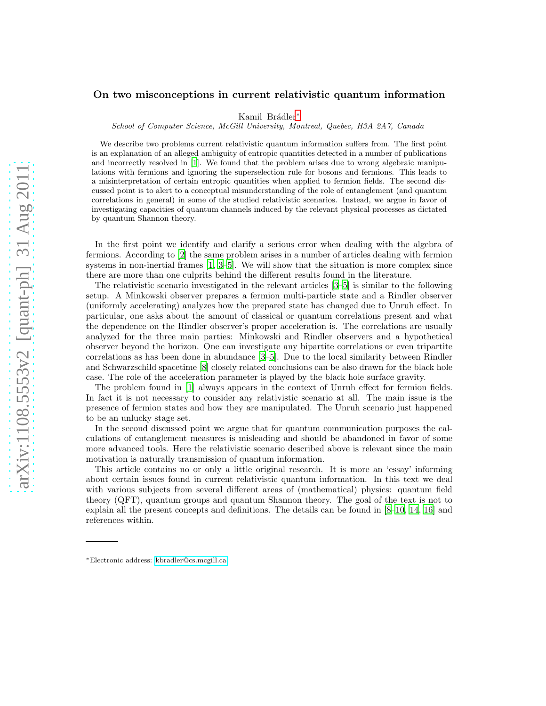# On two misconceptions in current relativistic quantum information

Kamil Brádler<sup>\*</sup>

School of Computer Science, McGill University, Montreal, Quebec, H3A 2A7, Canada

We describe two problems current relativistic quantum information suffers from. The first point is an explanation of an alleged ambiguity of entropic quantities detected in a number of publications and incorrectly resolved in [\[1](#page-9-0)]. We found that the problem arises due to wrong algebraic manipulations with fermions and ignoring the superselection rule for bosons and fermions. This leads to a misinterpretation of certain entropic quantities when applied to fermion fields. The second discussed point is to alert to a conceptual misunderstanding of the role of entanglement (and quantum correlations in general) in some of the studied relativistic scenarios. Instead, we argue in favor of investigating capacities of quantum channels induced by the relevant physical processes as dictated by quantum Shannon theory.

In the first point we identify and clarify a serious error when dealing with the algebra of fermions. According to [\[2\]](#page-9-1) the same problem arises in a number of articles dealing with fermion systems in non-inertial frames  $\vert 1, 3-5 \vert$  $\vert 1, 3-5 \vert$  $\vert 1, 3-5 \vert$ . We will show that the situation is more complex since there are more than one culprits behind the different results found in the literature.

The relativistic scenario investigated in the relevant articles [\[3](#page-9-2)[–5\]](#page-10-0) is similar to the following setup. A Minkowski observer prepares a fermion multi-particle state and a Rindler observer (uniformly accelerating) analyzes how the prepared state has changed due to Unruh effect. In particular, one asks about the amount of classical or quantum correlations present and what the dependence on the Rindler observer's proper acceleration is. The correlations are usually analyzed for the three main parties: Minkowski and Rindler observers and a hypothetical observer beyond the horizon. One can investigate any bipartite correlations or even tripartite correlations as has been done in abundance [\[3](#page-9-2)[–5\]](#page-10-0). Due to the local similarity between Rindler and Schwarzschild spacetime [\[8](#page-10-1)] closely related conclusions can be also drawn for the black hole case. The role of the acceleration parameter is played by the black hole surface gravity.

The problem found in [\[1\]](#page-9-0) always appears in the context of Unruh effect for fermion fields. In fact it is not necessary to consider any relativistic scenario at all. The main issue is the presence of fermion states and how they are manipulated. The Unruh scenario just happened to be an unlucky stage set.

In the second discussed point we argue that for quantum communication purposes the calculations of entanglement measures is misleading and should be abandoned in favor of some more advanced tools. Here the relativistic scenario described above is relevant since the main motivation is naturally transmission of quantum information.

This article contains no or only a little original research. It is more an 'essay' informing about certain issues found in current relativistic quantum information. In this text we deal with various subjects from several different areas of (mathematical) physics: quantum field theory (QFT), quantum groups and quantum Shannon theory. The goal of the text is not to explain all the present concepts and definitions. The details can be found in [\[8](#page-10-1)[–10,](#page-10-2) [14,](#page-10-3) [16\]](#page-10-4) and references within.

<span id="page-0-0"></span><sup>∗</sup>Electronic address: [kbradler@cs.mcgill.ca](mailto:kbradler@cs.mcgill.ca)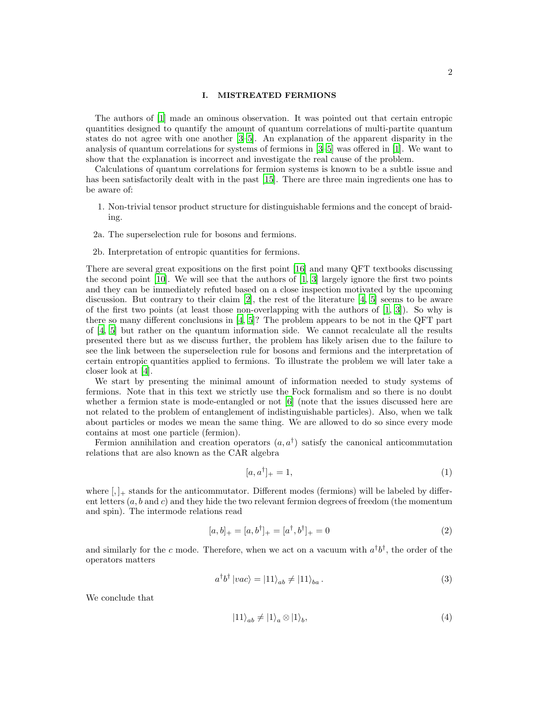## I. MISTREATED FERMIONS

The authors of [\[1\]](#page-9-0) made an ominous observation. It was pointed out that certain entropic quantities designed to quantify the amount of quantum correlations of multi-partite quantum states do not agree with one another [\[3](#page-9-2)[–5\]](#page-10-0). An explanation of the apparent disparity in the analysis of quantum correlations for systems of fermions in [\[3](#page-9-2)[–5\]](#page-10-0) was offered in [\[1\]](#page-9-0). We want to show that the explanation is incorrect and investigate the real cause of the problem.

Calculations of quantum correlations for fermion systems is known to be a subtle issue and has been satisfactorily dealt with in the past [\[15\]](#page-10-5). There are three main ingredients one has to be aware of:

- 1. Non-trivial tensor product structure for distinguishable fermions and the concept of braiding.
- 2a. The superselection rule for bosons and fermions.
- 2b. Interpretation of entropic quantities for fermions.

There are several great expositions on the first point [\[16](#page-10-4)] and many QFT textbooks discussing the second point  $[10]$ . We will see that the authors of  $[1, 3]$  $[1, 3]$  largely ignore the first two points and they can be immediately refuted based on a close inspection motivated by the upcoming discussion. But contrary to their claim  $[2]$ , the rest of the literature  $[4, 5]$  $[4, 5]$  seems to be aware of the first two points (at least those non-overlapping with the authors of  $[1, 3]$  $[1, 3]$ ). So why is there so many different conclusions in [\[4,](#page-9-3) [5\]](#page-10-0)? The problem appears to be not in the QFT part of [\[4,](#page-9-3) [5\]](#page-10-0) but rather on the quantum information side. We cannot recalculate all the results presented there but as we discuss further, the problem has likely arisen due to the failure to see the link between the superselection rule for bosons and fermions and the interpretation of certain entropic quantities applied to fermions. To illustrate the problem we will later take a closer look at [\[4\]](#page-9-3).

We start by presenting the minimal amount of information needed to study systems of fermions. Note that in this text we strictly use the Fock formalism and so there is no doubt whether a fermion state is mode-entangled or not [\[6](#page-10-6)] (note that the issues discussed here are not related to the problem of entanglement of indistinguishable particles). Also, when we talk about particles or modes we mean the same thing. We are allowed to do so since every mode contains at most one particle (fermion).

Fermion annihilation and creation operators  $(a, a^{\dagger})$  satisfy the canonical anticommutation relations that are also known as the CAR algebra

$$
[a, a^{\dagger}]_{+} = 1,\tag{1}
$$

where  $[,$   $]_+$  stands for the anticommutator. Different modes (fermions) will be labeled by different letters  $(a, b \text{ and } c)$  and they hide the two relevant fermion degrees of freedom (the momentum and spin). The intermode relations read

<span id="page-1-1"></span>
$$
[a, b]_+ = [a, b^\dagger]_+ = [a^\dagger, b^\dagger]_+ = 0 \tag{2}
$$

and similarly for the c mode. Therefore, when we act on a vacuum with  $a^{\dagger}b^{\dagger}$ , the order of the operators matters

$$
a^{\dagger}b^{\dagger}|vac\rangle = |11\rangle_{ab} \neq |11\rangle_{ba}.
$$
 (3)

We conclude that

<span id="page-1-0"></span>
$$
|11\rangle_{ab} \neq |1\rangle_a \otimes |1\rangle_b,\tag{4}
$$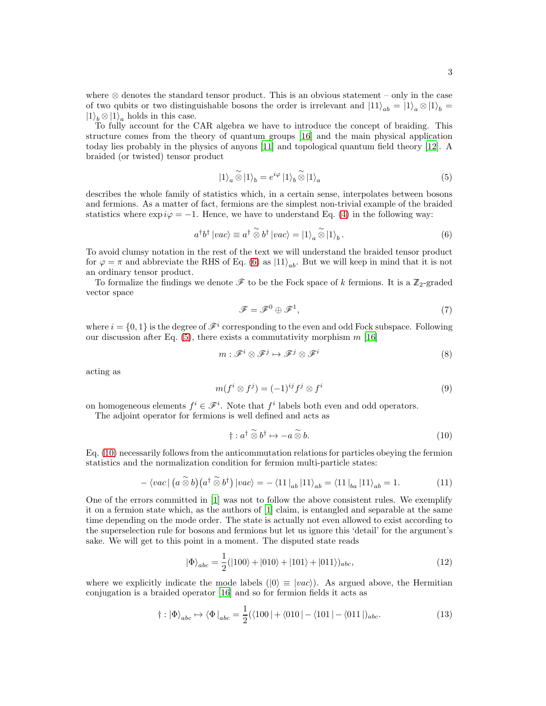where ⊗ denotes the standard tensor product. This is an obvious statement – only in the case of two qubits or two distinguishable bosons the order is irrelevant and  $|11\rangle_{ab} = |1\rangle_a \otimes |1\rangle_b = |1\rangle_a$  $|1\rangle_b \otimes |1\rangle_a$  holds in this case.

To fully account for the CAR algebra we have to introduce the concept of braiding. This structure comes from the theory of quantum groups [\[16\]](#page-10-4) and the main physical application today lies probably in the physics of anyons [\[11\]](#page-10-7) and topological quantum field theory [\[12\]](#page-10-8). A braided (or twisted) tensor product

<span id="page-2-1"></span>
$$
|1\rangle_a \widetilde{\otimes} |1\rangle_b = e^{i\varphi} |1\rangle_b \widetilde{\otimes} |1\rangle_a \tag{5}
$$

describes the whole family of statistics which, in a certain sense, interpolates between bosons and fermions. As a matter of fact, fermions are the simplest non-trivial example of the braided statistics where  $\exp i\varphi = -1$ . Hence, we have to understand Eq. [\(4\)](#page-1-0) in the following way:

<span id="page-2-0"></span>
$$
a^{\dagger}b^{\dagger} \left| vac \right\rangle \equiv a^{\dagger} \stackrel{\sim}{\otimes} b^{\dagger} \left| vac \right\rangle = \left| 1 \right\rangle_a \stackrel{\sim}{\otimes} \left| 1 \right\rangle_b. \tag{6}
$$

To avoid clumsy notation in the rest of the text we will understand the braided tensor product for  $\varphi = \pi$  and abbreviate the RHS of Eq. [\(6\)](#page-2-0) as  $|11\rangle_{ab}$ . But we will keep in mind that it is not an ordinary tensor product.

To formalize the findings we denote  $\mathscr F$  to be the Fock space of k fermions. It is a  $\mathbb Z_2$ -graded vector space

<span id="page-2-4"></span>
$$
\mathscr{F} = \mathscr{F}^0 \oplus \mathscr{F}^1,\tag{7}
$$

where  $i = \{0, 1\}$  is the degree of  $\mathscr{F}^i$  corresponding to the even and odd Fock subspace. Following our discussion after Eq.  $(5)$ , there exists a commutativity morphism m [\[16](#page-10-4)]

$$
m: \mathscr{F}^i \otimes \mathscr{F}^j \mapsto \mathscr{F}^j \otimes \mathscr{F}^i
$$
 (8)

acting as

<span id="page-2-5"></span>
$$
m(f^i \otimes f^j) = (-1)^{ij} f^j \otimes f^i \tag{9}
$$

on homogeneous elements  $f^i \in \mathcal{F}^i$ . Note that  $f^i$  labels both even and odd operators.

The adjoint operator for fermions is well defined and acts as

<span id="page-2-2"></span>
$$
\dagger : a^{\dagger} \overset{\sim}{\otimes} b^{\dagger} \mapsto -a \overset{\sim}{\otimes} b. \tag{10}
$$

Eq. [\(10\)](#page-2-2) necessarily follows from the anticommutation relations for particles obeying the fermion statistics and the normalization condition for fermion multi-particle states:

$$
-\langle vac \mid (a \overset{\sim}{\otimes} b)(a^{\dagger} \overset{\sim}{\otimes} b^{\dagger}) \mid vac \rangle = -\langle 11 \mid_{ab} |11 \rangle_{ab} = \langle 11 \mid_{ba} |11 \rangle_{ab} = 1. \tag{11}
$$

One of the errors committed in [\[1](#page-9-0)] was not to follow the above consistent rules. We exemplify it on a fermion state which, as the authors of [\[1\]](#page-9-0) claim, is entangled and separable at the same time depending on the mode order. The state is actually not even allowed to exist according to the superselection rule for bosons and fermions but let us ignore this 'detail' for the argument's sake. We will get to this point in a moment. The disputed state reads

<span id="page-2-3"></span>
$$
|\Phi\rangle_{abc} = \frac{1}{2} (|100\rangle + |010\rangle + |101\rangle + |011\rangle)_{abc},
$$
\n(12)

where we explicitly indicate the mode labels  $(|0\rangle \equiv |vac\rangle)$ . As argued above, the Hermitian conjugation is a braided operator [\[16\]](#page-10-4) and so for fermion fields it acts as

$$
\dagger : |\Phi\rangle_{abc} \mapsto \langle \Phi|_{abc} = \frac{1}{2} (\langle 100| + \langle 010| - \langle 101| - \langle 011|)_{abc}.\tag{13}
$$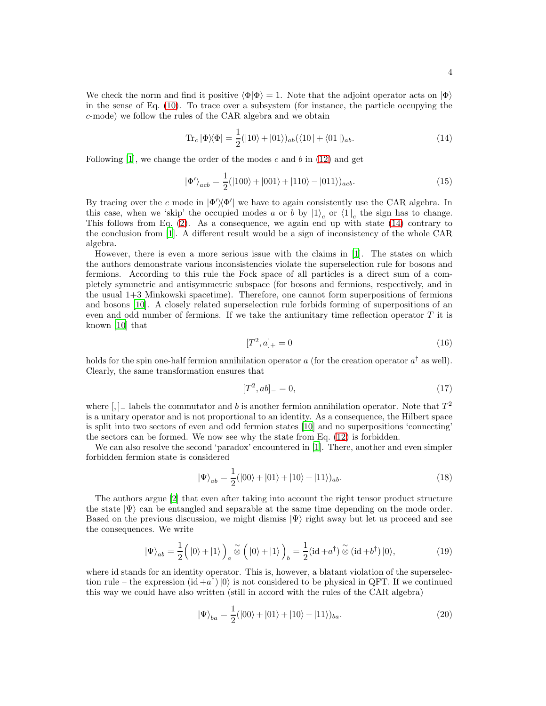<span id="page-3-0"></span>
$$
\text{Tr}_c |\Phi\rangle\langle\Phi| = \frac{1}{2} (|10\rangle + |01\rangle)_{ab} (\langle 10| + \langle 01|)_{ab}.
$$
 (14)

Following  $|1|$ , we change the order of the modes c and b in  $(12)$  and get

$$
|\Phi'\rangle_{acb} = \frac{1}{2}(|100\rangle + |001\rangle + |110\rangle - |011\rangle)_{acb}.
$$
\n(15)

By tracing over the c mode in  $|\Phi'\rangle\langle\Phi'|$  we have to again consistently use the CAR algebra. In this case, when we 'skip' the occupied modes a or b by  $|1\rangle_c$  or  $\langle 1|_c$  the sign has to change. This follows from Eq. [\(2\)](#page-1-1). As a consequence, we again end up with state [\(14\)](#page-3-0) contrary to the conclusion from [\[1\]](#page-9-0). A different result would be a sign of inconsistency of the whole CAR algebra.

However, there is even a more serious issue with the claims in [\[1](#page-9-0)]. The states on which the authors demonstrate various inconsistencies violate the superselection rule for bosons and fermions. According to this rule the Fock space of all particles is a direct sum of a completely symmetric and antisymmetric subspace (for bosons and fermions, respectively, and in the usual 1+3 Minkowski spacetime). Therefore, one cannot form superpositions of fermions and bosons [\[10](#page-10-2)]. A closely related superselection rule forbids forming of superpositions of an even and odd number of fermions. If we take the antiunitary time reflection operator  $T$  it is known [\[10\]](#page-10-2) that

$$
[T^2, a]_+ = 0 \tag{16}
$$

holds for the spin one-half fermion annihilation operator  $a$  (for the creation operator  $a^{\dagger}$  as well). Clearly, the same transformation ensures that

$$
[T^2, ab]_- = 0,\t(17)
$$

where [, ]<sub>-</sub> labels the commutator and b is another fermion annihilation operator. Note that  $T^2$ is a unitary operator and is not proportional to an identity. As a consequence, the Hilbert space is split into two sectors of even and odd fermion states [\[10\]](#page-10-2) and no superpositions 'connecting' the sectors can be formed. We now see why the state from Eq. [\(12\)](#page-2-3) is forbidden.

We can also resolve the second 'paradox' encountered in [\[1\]](#page-9-0). There, another and even simpler forbidden fermion state is considered

<span id="page-3-1"></span>
$$
|\Psi\rangle_{ab} = \frac{1}{2}(|00\rangle + |01\rangle + |10\rangle + |11\rangle)_{ab}.
$$
\n(18)

The authors argue [\[2\]](#page-9-1) that even after taking into account the right tensor product structure the state  $|\Psi\rangle$  can be entangled and separable at the same time depending on the mode order. Based on the previous discussion, we might dismiss  $|\Psi\rangle$  right away but let us proceed and see the consequences. We write

$$
|\Psi\rangle_{ab} = \frac{1}{2} \left( |0\rangle + |1\rangle \right)_a \widetilde{\otimes} \left( |0\rangle + |1\rangle \right)_b = \frac{1}{2} (\mathrm{id} + a^\dagger) \widetilde{\otimes} (\mathrm{id} + b^\dagger) |0\rangle,\tag{19}
$$

where id stands for an identity operator. This is, however, a blatant violation of the superselection rule – the expression  $(id + a^{\dagger}) |0\rangle$  is not considered to be physical in QFT. If we continued this way we could have also written (still in accord with the rules of the CAR algebra)

<span id="page-3-2"></span>
$$
|\Psi\rangle_{ba} = \frac{1}{2}(|00\rangle + |01\rangle + |10\rangle - |11\rangle)_{ba}.
$$
\n(20)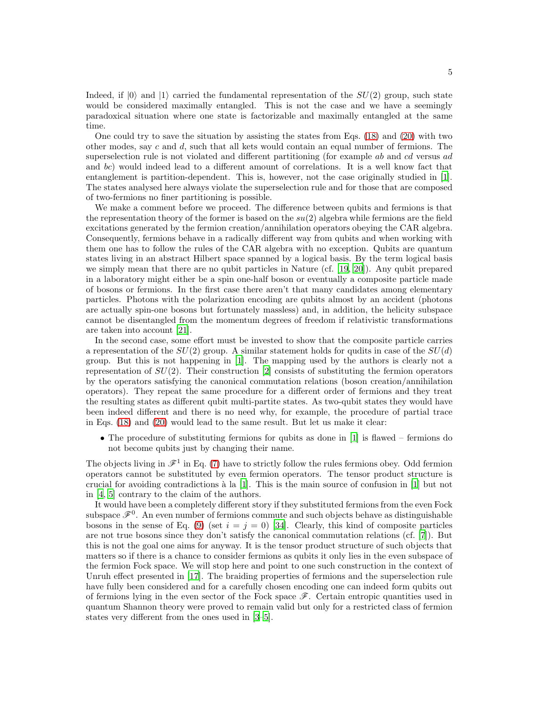Indeed, if  $|0\rangle$  and  $|1\rangle$  carried the fundamental representation of the  $SU(2)$  group, such state would be considered maximally entangled. This is not the case and we have a seemingly paradoxical situation where one state is factorizable and maximally entangled at the same time.

One could try to save the situation by assisting the states from Eqs. [\(18\)](#page-3-1) and [\(20\)](#page-3-2) with two other modes, say  $c$  and  $d$ , such that all kets would contain an equal number of fermions. The superselection rule is not violated and different partitioning (for example ab and cd versus ad and bc) would indeed lead to a different amount of correlations. It is a well know fact that entanglement is partition-dependent. This is, however, not the case originally studied in [\[1\]](#page-9-0). The states analysed here always violate the superselection rule and for those that are composed of two-fermions no finer partitioning is possible.

We make a comment before we proceed. The difference between qubits and fermions is that the representation theory of the former is based on the  $su(2)$  algebra while fermions are the field excitations generated by the fermion creation/annihilation operators obeying the CAR algebra. Consequently, fermions behave in a radically different way from qubits and when working with them one has to follow the rules of the CAR algebra with no exception. Qubits are quantum states living in an abstract Hilbert space spanned by a logical basis. By the term logical basis we simply mean that there are no qubit particles in Nature (cf. [\[19,](#page-10-9) [20](#page-10-10)]). Any qubit prepared in a laboratory might either be a spin one-half boson or eventually a composite particle made of bosons or fermions. In the first case there aren't that many candidates among elementary particles. Photons with the polarization encoding are qubits almost by an accident (photons are actually spin-one bosons but fortunately massless) and, in addition, the helicity subspace cannot be disentangled from the momentum degrees of freedom if relativistic transformations are taken into account [\[21\]](#page-10-11).

In the second case, some effort must be invested to show that the composite particle carries a representation of the  $SU(2)$  group. A similar statement holds for qudits in case of the  $SU(d)$ group. But this is not happening in [\[1](#page-9-0)]. The mapping used by the authors is clearly not a representation of  $SU(2)$ . Their construction [\[2\]](#page-9-1) consists of substituting the fermion operators by the operators satisfying the canonical commutation relations (boson creation/annihilation operators). They repeat the same procedure for a different order of fermions and they treat the resulting states as different qubit multi-partite states. As two-qubit states they would have been indeed different and there is no need why, for example, the procedure of partial trace in Eqs. [\(18\)](#page-3-1) and [\(20\)](#page-3-2) would lead to the same result. But let us make it clear:

• The procedure of substituting fermions for qubits as done in [\[1\]](#page-9-0) is flawed – fermions do not become qubits just by changing their name.

The objects living in  $\mathscr{F}^1$  in Eq. [\(7\)](#page-2-4) have to strictly follow the rules fermions obey. Odd fermion operators cannot be substituted by even fermion operators. The tensor product structure is crucial for avoiding contradictions  $\lambda$  la [\[1](#page-9-0)]. This is the main source of confusion in [1] but not in [\[4,](#page-9-3) [5\]](#page-10-0) contrary to the claim of the authors.

It would have been a completely different story if they substituted fermions from the even Fock subspace  $\mathscr{F}^0$ . An even number of fermions commute and such objects behave as distinguishable bosons in the sense of Eq. [\(9\)](#page-2-5) (set  $i = j = 0$ ) [\[34\]](#page-10-12). Clearly, this kind of composite particles are not true bosons since they don't satisfy the canonical commutation relations (cf. [\[7\]](#page-10-13)). But this is not the goal one aims for anyway. It is the tensor product structure of such objects that matters so if there is a chance to consider fermions as qubits it only lies in the even subspace of the fermion Fock space. We will stop here and point to one such construction in the context of Unruh effect presented in [\[17\]](#page-10-14). The braiding properties of fermions and the superselection rule have fully been considered and for a carefully chosen encoding one can indeed form qubits out of fermions lying in the even sector of the Fock space  $\mathscr{F}$ . Certain entropic quantities used in quantum Shannon theory were proved to remain valid but only for a restricted class of fermion states very different from the ones used in [\[3](#page-9-2)[–5](#page-10-0)].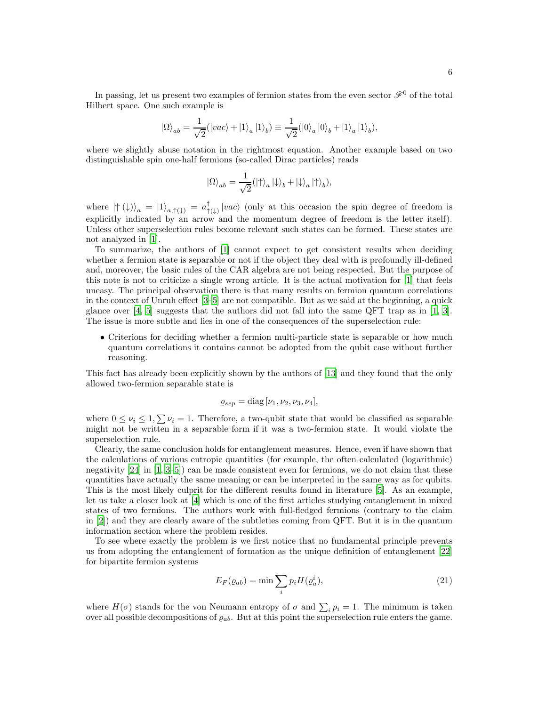In passing, let us present two examples of fermion states from the even sector  $\mathscr{F}^0$  of the total Hilbert space. One such example is

$$
\left| \Omega \right\rangle_{ab} = \frac{1}{\sqrt{2}} (\left| {vac} \right\rangle + \left| 1 \right\rangle_a \left| 1 \right\rangle_b ) \equiv \frac{1}{\sqrt{2}} (\left| 0 \right\rangle_a \left| 0 \right\rangle_b + \left| 1 \right\rangle_a \left| 1 \right\rangle_b ),
$$

where we slightly abuse notation in the rightmost equation. Another example based on two distinguishable spin one-half fermions (so-called Dirac particles) reads

$$
\left| \Omega \right\rangle_{ab} = \frac{1}{\sqrt{2}} ( \left| \uparrow \right\rangle_a \left| \downarrow \right\rangle_b + \left| \downarrow \right\rangle_a \left| \uparrow \right\rangle_b),
$$

where  $|\uparrow (\downarrow)\rangle_a = |1\rangle_{a,\uparrow (\downarrow)} = a^{\dagger}_{\uparrow}$  $\biguparrow^{\perp}_{\uparrow(\downarrow)}\big|vac\rangle$  (only at this occasion the spin degree of freedom is explicitly indicated by an arrow and the momentum degree of freedom is the letter itself). Unless other superselection rules become relevant such states can be formed. These states are not analyzed in [\[1\]](#page-9-0).

To summarize, the authors of [\[1\]](#page-9-0) cannot expect to get consistent results when deciding whether a fermion state is separable or not if the object they deal with is profoundly ill-defined and, moreover, the basic rules of the CAR algebra are not being respected. But the purpose of this note is not to criticize a single wrong article. It is the actual motivation for [\[1\]](#page-9-0) that feels uneasy. The principal observation there is that many results on fermion quantum correlations in the context of Unruh effect [\[3](#page-9-2)[–5](#page-10-0)] are not compatible. But as we said at the beginning, a quick glance over  $[4, 5]$  $[4, 5]$  suggests that the authors did not fall into the same QFT trap as in  $[1, 3]$  $[1, 3]$ . The issue is more subtle and lies in one of the consequences of the superselection rule:

• Criterions for deciding whether a fermion multi-particle state is separable or how much quantum correlations it contains cannot be adopted from the qubit case without further reasoning.

This fact has already been explicitly shown by the authors of [\[13](#page-10-15)] and they found that the only allowed two-fermion separable state is

$$
\varrho_{sep} = \text{diag}\,[\nu_1,\nu_2,\nu_3,\nu_4],
$$

where  $0 \le \nu_i \le 1$ ,  $\sum \nu_i = 1$ . Therefore, a two-qubit state that would be classified as separable might not be written in a separable form if it was a two-fermion state. It would violate the superselection rule.

Clearly, the same conclusion holds for entanglement measures. Hence, even if have shown that the calculations of various entropic quantities (for example, the often calculated (logarithmic) negativity  $[24]$  in  $[1, 3-5]$  $[1, 3-5]$  $[1, 3-5]$  can be made consistent even for fermions, we do not claim that these quantities have actually the same meaning or can be interpreted in the same way as for qubits. This is the most likely culprit for the different results found in literature [\[5\]](#page-10-0). As an example, let us take a closer look at [\[4](#page-9-3)] which is one of the first articles studying entanglement in mixed states of two fermions. The authors work with full-fledged fermions (contrary to the claim in [\[2\]](#page-9-1)) and they are clearly aware of the subtleties coming from QFT. But it is in the quantum information section where the problem resides.

To see where exactly the problem is we first notice that no fundamental principle prevents us from adopting the entanglement of formation as the unique definition of entanglement [\[22\]](#page-10-17) for bipartite fermion systems

$$
E_F(\varrho_{ab}) = \min \sum_i p_i H(\varrho_a^i),\tag{21}
$$

where  $H(\sigma)$  stands for the von Neumann entropy of  $\sigma$  and  $\sum_i p_i = 1$ . The minimum is taken over all possible decompositions of  $\varrho_{ab}$ . But at this point the superselection rule enters the game.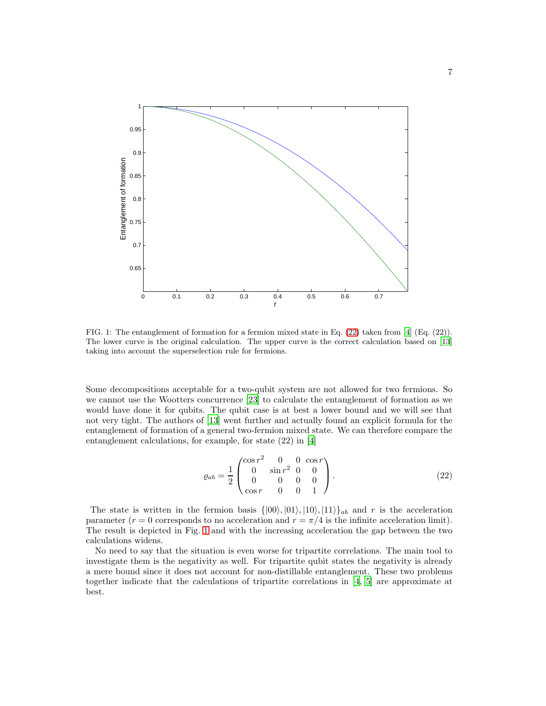

<span id="page-6-1"></span>FIG. 1: The entanglement of formation for a fermion mixed state in Eq. [\(22\)](#page-6-0) taken from [\[4\]](#page-9-3) (Eq. (22)). The lower curve is the original calculation. The upper curve is the correct calculation based on [\[13\]](#page-10-15) taking into account the superselection rule for fermions.

Some decompositions acceptable for a two-qubit system are not allowed for two fermions. So we cannot use the Wootters concurrence [\[23\]](#page-10-18) to calculate the entanglement of formation as we would have done it for qubits. The qubit case is at best a lower bound and we will see that not very tight. The authors of [\[13\]](#page-10-15) went further and actually found an explicit formula for the entanglement of formation of a general two-fermion mixed state. We can therefore compare the entanglement calculations, for example, for state (22) in [\[4](#page-9-3)]

<span id="page-6-0"></span>
$$
\varrho_{ab} = \frac{1}{2} \begin{pmatrix} \cos r^2 & 0 & 0 & \cos r \\ 0 & \sin r^2 & 0 & 0 \\ 0 & 0 & 0 & 0 \\ \cos r & 0 & 0 & 1 \end{pmatrix} . \tag{22}
$$

The state is written in the fermion basis  $\{|00\rangle, |01\rangle, |10\rangle, |11\rangle\}_{ab}$  and r is the acceleration parameter ( $r = 0$  corresponds to no acceleration and  $r = \pi/4$  is the infinite acceleration limit). The result is depicted in Fig. [1](#page-6-1) and with the increasing acceleration the gap between the two calculations widens.

No need to say that the situation is even worse for tripartite correlations. The main tool to investigate them is the negativity as well. For tripartite qubit states the negativity is already a mere bound since it does not account for non-distillable entanglement. These two problems together indicate that the calculations of tripartite correlations in [\[4](#page-9-3), [5](#page-10-0)] are approximate at best.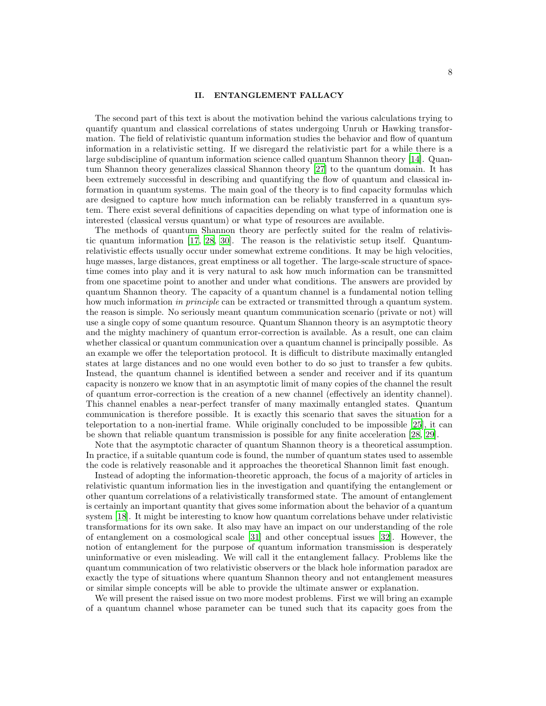## II. ENTANGLEMENT FALLACY

The second part of this text is about the motivation behind the various calculations trying to quantify quantum and classical correlations of states undergoing Unruh or Hawking transformation. The field of relativistic quantum information studies the behavior and flow of quantum information in a relativistic setting. If we disregard the relativistic part for a while there is a large subdiscipline of quantum information science called quantum Shannon theory [\[14\]](#page-10-3). Quantum Shannon theory generalizes classical Shannon theory [\[27](#page-10-19)] to the quantum domain. It has been extremely successful in describing and quantifying the flow of quantum and classical information in quantum systems. The main goal of the theory is to find capacity formulas which are designed to capture how much information can be reliably transferred in a quantum system. There exist several definitions of capacities depending on what type of information one is interested (classical versus quantum) or what type of resources are available.

The methods of quantum Shannon theory are perfectly suited for the realm of relativistic quantum information [\[17,](#page-10-14) [28](#page-10-20), [30](#page-10-21)]. The reason is the relativistic setup itself. Quantumrelativistic effects usually occur under somewhat extreme conditions. It may be high velocities, huge masses, large distances, great emptiness or all together. The large-scale structure of spacetime comes into play and it is very natural to ask how much information can be transmitted from one spacetime point to another and under what conditions. The answers are provided by quantum Shannon theory. The capacity of a quantum channel is a fundamental notion telling how much information in principle can be extracted or transmitted through a quantum system. the reason is simple. No seriously meant quantum communication scenario (private or not) will use a single copy of some quantum resource. Quantum Shannon theory is an asymptotic theory and the mighty machinery of quantum error-correction is available. As a result, one can claim whether classical or quantum communication over a quantum channel is principally possible. As an example we offer the teleportation protocol. It is difficult to distribute maximally entangled states at large distances and no one would even bother to do so just to transfer a few qubits. Instead, the quantum channel is identified between a sender and receiver and if its quantum capacity is nonzero we know that in an asymptotic limit of many copies of the channel the result of quantum error-correction is the creation of a new channel (effectively an identity channel). This channel enables a near-perfect transfer of many maximally entangled states. Quantum communication is therefore possible. It is exactly this scenario that saves the situation for a teleportation to a non-inertial frame. While originally concluded to be impossible [\[25](#page-10-22)], it can be shown that reliable quantum transmission is possible for any finite acceleration [\[28](#page-10-20), [29](#page-10-23)].

Note that the asymptotic character of quantum Shannon theory is a theoretical assumption. In practice, if a suitable quantum code is found, the number of quantum states used to assemble the code is relatively reasonable and it approaches the theoretical Shannon limit fast enough.

Instead of adopting the information-theoretic approach, the focus of a majority of articles in relativistic quantum information lies in the investigation and quantifying the entanglement or other quantum correlations of a relativistically transformed state. The amount of entanglement is certainly an important quantity that gives some information about the behavior of a quantum system [\[18\]](#page-10-24). It might be interesting to know how quantum correlations behave under relativistic transformations for its own sake. It also may have an impact on our understanding of the role of entanglement on a cosmological scale [\[31\]](#page-10-25) and other conceptual issues [\[32](#page-10-26)]. However, the notion of entanglement for the purpose of quantum information transmission is desperately uninformative or even misleading. We will call it the entanglement fallacy. Problems like the quantum communication of two relativistic observers or the black hole information paradox are exactly the type of situations where quantum Shannon theory and not entanglement measures or similar simple concepts will be able to provide the ultimate answer or explanation.

We will present the raised issue on two more modest problems. First we will bring an example of a quantum channel whose parameter can be tuned such that its capacity goes from the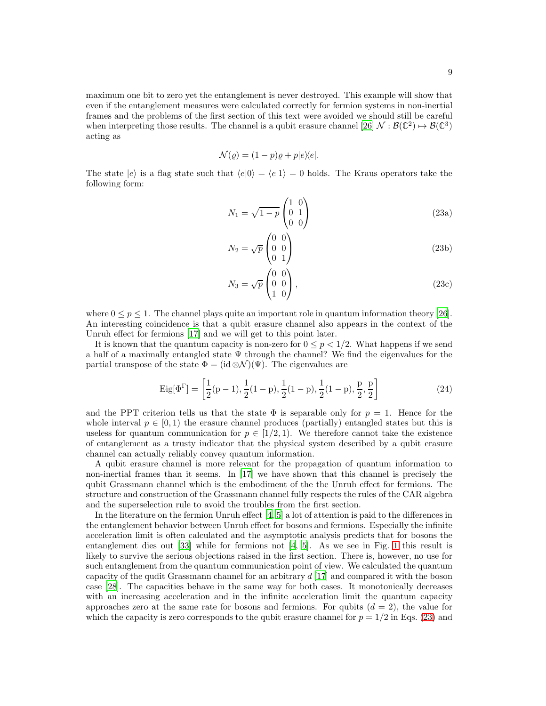maximum one bit to zero yet the entanglement is never destroyed. This example will show that even if the entanglement measures were calculated correctly for fermion systems in non-inertial frames and the problems of the first section of this text were avoided we should still be careful when interpreting those results. The channel is a qubit erasure channel [\[26](#page-10-27)]  $\mathcal{N}: \mathcal{B}(\mathbb{C}^2) \to \mathcal{B}(\mathbb{C}^3)$ acting as

$$
\mathcal{N}(\varrho) = (1 - p)\varrho + p|e\rangle\langle e|.
$$

<span id="page-8-0"></span>The state  $|e\rangle$  is a flag state such that  $\langle e|0\rangle = \langle e|1\rangle = 0$  holds. The Kraus operators take the following form:

$$
N_1 = \sqrt{1 - p} \begin{pmatrix} 1 & 0 \\ 0 & 1 \\ 0 & 0 \end{pmatrix}
$$
 (23a)

$$
N_2 = \sqrt{p} \begin{pmatrix} 0 & 0 \\ 0 & 0 \\ 0 & 1 \end{pmatrix} \tag{23b}
$$

$$
N_3 = \sqrt{p} \begin{pmatrix} 0 & 0 \\ 0 & 0 \\ 1 & 0 \end{pmatrix},\tag{23c}
$$

where  $0 \le p \le 1$ . The channel plays quite an important role in quantum information theory [\[26\]](#page-10-27). An interesting coincidence is that a qubit erasure channel also appears in the context of the Unruh effect for fermions [\[17](#page-10-14)] and we will get to this point later.

It is known that the quantum capacity is non-zero for  $0 \le p < 1/2$ . What happens if we send a half of a maximally entangled state  $\Psi$  through the channel? We find the eigenvalues for the partial transpose of the state  $\Phi = (\mathrm{id} \otimes \mathcal{N})(\Psi)$ . The eigenvalues are

<span id="page-8-1"></span>
$$
\text{Eig}[\Phi^{\Gamma}] = \left[\frac{1}{2}(p-1), \frac{1}{2}(1-p), \frac{1}{2}(1-p), \frac{1}{2}(1-p), \frac{p}{2}, \frac{p}{2}\right]
$$
(24)

and the PPT criterion tells us that the state  $\Phi$  is separable only for  $p = 1$ . Hence for the whole interval  $p \in [0, 1)$  the erasure channel produces (partially) entangled states but this is useless for quantum communication for  $p \in [1/2, 1)$ . We therefore cannot take the existence of entanglement as a trusty indicator that the physical system described by a qubit erasure channel can actually reliably convey quantum information.

A qubit erasure channel is more relevant for the propagation of quantum information to non-inertial frames than it seems. In [\[17\]](#page-10-14) we have shown that this channel is precisely the qubit Grassmann channel which is the embodiment of the the Unruh effect for fermions. The structure and construction of the Grassmann channel fully respects the rules of the CAR algebra and the superselection rule to avoid the troubles from the first section.

In the literature on the fermion Unruh effect [\[4,](#page-9-3) [5](#page-10-0)] a lot of attention is paid to the differences in the entanglement behavior between Unruh effect for bosons and fermions. Especially the infinite acceleration limit is often calculated and the asymptotic analysis predicts that for bosons the entanglement dies out [\[33](#page-10-28)] while for fermions not [\[4,](#page-9-3) [5\]](#page-10-0). As we see in Fig. [1](#page-6-1) this result is likely to survive the serious objections raised in the first section. There is, however, no use for such entanglement from the quantum communication point of view. We calculated the quantum capacity of the qudit Grassmann channel for an arbitrary  $d[17]$  $d[17]$  and compared it with the boson case [\[28\]](#page-10-20). The capacities behave in the same way for both cases. It monotonically decreases with an increasing acceleration and in the infinite acceleration limit the quantum capacity approaches zero at the same rate for bosons and fermions. For qubits  $(d = 2)$ , the value for which the capacity is zero corresponds to the qubit erasure channel for  $p = 1/2$  in Eqs. [\(23\)](#page-8-0) and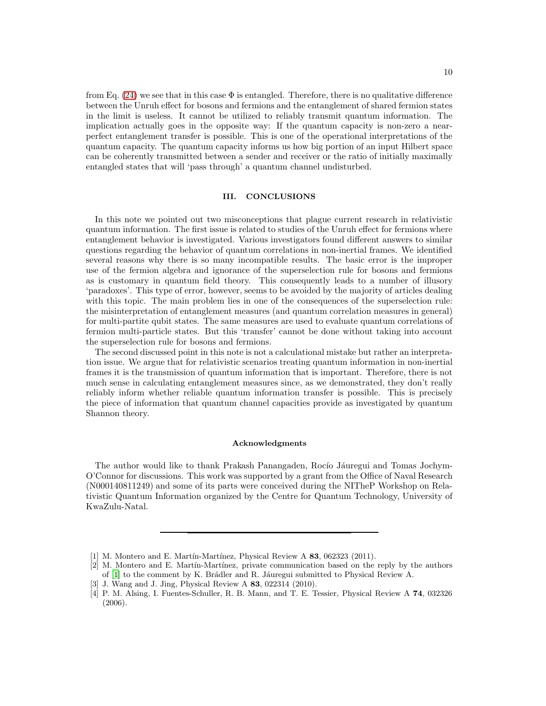from Eq. [\(24\)](#page-8-1) we see that in this case  $\Phi$  is entangled. Therefore, there is no qualitative difference between the Unruh effect for bosons and fermions and the entanglement of shared fermion states in the limit is useless. It cannot be utilized to reliably transmit quantum information. The implication actually goes in the opposite way: If the quantum capacity is non-zero a nearperfect entanglement transfer is possible. This is one of the operational interpretations of the quantum capacity. The quantum capacity informs us how big portion of an input Hilbert space can be coherently transmitted between a sender and receiver or the ratio of initially maximally entangled states that will 'pass through' a quantum channel undisturbed.

## III. CONCLUSIONS

In this note we pointed out two misconceptions that plague current research in relativistic quantum information. The first issue is related to studies of the Unruh effect for fermions where entanglement behavior is investigated. Various investigators found different answers to similar questions regarding the behavior of quantum correlations in non-inertial frames. We identified several reasons why there is so many incompatible results. The basic error is the improper use of the fermion algebra and ignorance of the superselection rule for bosons and fermions as is customary in quantum field theory. This consequently leads to a number of illusory 'paradoxes'. This type of error, however, seems to be avoided by the majority of articles dealing with this topic. The main problem lies in one of the consequences of the superselection rule: the misinterpretation of entanglement measures (and quantum correlation measures in general) for multi-partite qubit states. The same measures are used to evaluate quantum correlations of fermion multi-particle states. But this 'transfer' cannot be done without taking into account the superselection rule for bosons and fermions.

The second discussed point in this note is not a calculational mistake but rather an interpretation issue. We argue that for relativistic scenarios treating quantum information in non-inertial frames it is the transmission of quantum information that is important. Therefore, there is not much sense in calculating entanglement measures since, as we demonstrated, they don't really reliably inform whether reliable quantum information transfer is possible. This is precisely the piece of information that quantum channel capacities provide as investigated by quantum Shannon theory.

#### Acknowledgments

The author would like to thank Prakash Panangaden, Rocío Jáuregui and Tomas Jochym-O'Connor for discussions. This work was supported by a grant from the Office of Naval Research (N000140811249) and some of its parts were conceived during the NITheP Workshop on Relativistic Quantum Information organized by the Centre for Quantum Technology, University of KwaZulu-Natal.

<span id="page-9-0"></span><sup>[1]</sup> M. Montero and E. Martín-Martínez, Physical Review A  $83$ , 062323 (2011).

<span id="page-9-1"></span><sup>[2]</sup> M. Montero and E. Martín-Martínez, private communication based on the reply by the authors of [\[1](#page-9-0)] to the comment by K. Brádler and R. Jáuregui submitted to Physical Review A.

<span id="page-9-2"></span><sup>[3]</sup> J. Wang and J. Jing, Physical Review A 83, 022314 (2010).

<span id="page-9-3"></span><sup>[4]</sup> P. M. Alsing, I. Fuentes-Schuller, R. B. Mann, and T. E. Tessier, Physical Review A 74, 032326 (2006).